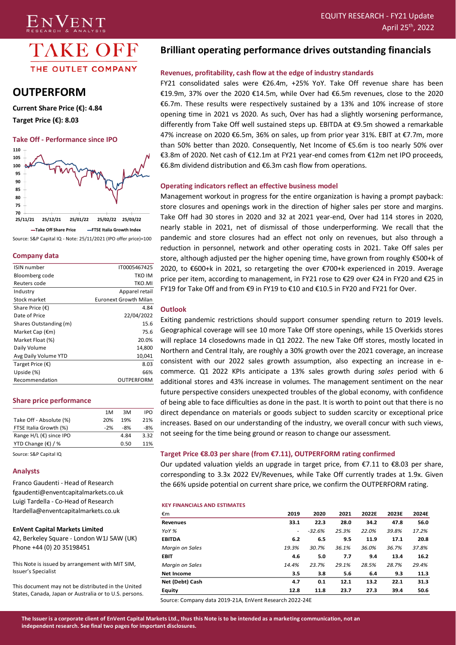

ENVENT

# **OUTPERFORM**

**Current Share Price (€): 4.84 Target Price (€): 8.03**

#### **Take Off - Performance since IPO**



Source: S&P Capital IQ - Note: 25/11/2021 (IPO offer price)=100

#### **Company data**

| IT0005467425          |
|-----------------------|
| TKO IM                |
| TKO.MI                |
| Apparel retail        |
| Euronext Growth Milan |
| 4.84                  |
| 22/04/2022            |
| 15.6                  |
| 75.6                  |
| 20.0%                 |
| 14,800                |
| 10,041                |
| 8.03                  |
| 66%                   |
| OUTPERFORM            |
|                       |

#### **Share price performance**

|                                      | 1 M   | ЗM   | <b>IPO</b> |
|--------------------------------------|-------|------|------------|
| Take Off - Absolute (%)              | 20%   | 19%  | 21%        |
| FTSE Italia Growth (%)               | $-2%$ | -8%  | $-8%$      |
| Range $H/L$ ( $\epsilon$ ) since IPO |       | 4.84 | 3.32       |
| YTD Change $(\epsilon)$ / %          |       | 0.50 | 11%        |
|                                      |       |      |            |

Source: S&P Capital IQ

#### **Analysts**

Franco Gaudenti - Head of Research fgaudenti@enventcapitalmarkets.co.uk Luigi Tardella - Co-Head of Research ltardella@enventcapitalmarkets.co.uk

#### **EnVent Capital Markets Limited**

42, Berkeley Square - London W1J 5AW (UK) Phone +44 (0) 20 35198451

This Note is issued by arrangement with MIT SIM, Issuer's Specialist

This document may not be distributed in the United States, Canada, Japan or Australia or to U.S. persons.

# **Brilliant operating performance drives outstanding financials**

# **Revenues, profitability, cash flow at the edge of industry standards**

FY21 consolidated sales were €26.4m, +25% YoY. Take Off revenue share has been €19.9m, 37% over the 2020 €14.5m, while Over had €6.5m revenues, close to the 2020 €6.7m. These results were respectively sustained by a 13% and 10% increase of store opening time in 2021 vs 2020. As such, Over has had a slightly worsening performance, differently from Take Off well sustained steps up. EBITDA at €9.5m showed a remarkable 47% increase on 2020 €6.5m, 36% on sales, up from prior year 31%. EBIT at €7.7m, more than 50% better than 2020. Consequently, Net Income of €5.6m is too nearly 50% over €3.8m of 2020. Net cash of €12.1m at FY21 year-end comes from €12m net IPO proceeds, €6.8m dividend distribution and €6.3m cash flow from operations.

#### **Operating indicators reflect an effective business model**

Management workout in progress for the entire organization is having a prompt payback: store closures and openings work in the direction of higher sales per store and margins. Take Off had 30 stores in 2020 and 32 at 2021 year-end, Over had 114 stores in 2020, nearly stable in 2021, net of dismissal of those underperforming. We recall that the pandemic and store closures had an effect not only on revenues, but also through a reduction in personnel, network and other operating costs in 2021. Take Off sales per store, although adjusted per the higher opening time, have grown from roughly €500+k of 2020, to €600+k in 2021, so retargeting the over €700+k experienced in 2019. Average price per item, according to management, in FY21 rose to €29 over €24 in FY20 and €25 in FY19 for Take Off and from €9 in FY19 to €10 and €10.5 in FY20 and FY21 for Over.

#### **Outlook**

Exiting pandemic restrictions should support consumer spending return to 2019 levels. Geographical coverage will see 10 more Take Off store openings, while 15 Overkids stores will replace 14 closedowns made in Q1 2022. The new Take Off stores, mostly located in Northern and Central Italy, are roughly a 30% growth over the 2021 coverage, an increase consistent with our 2022 sales growth assumption, also expecting an increase in ecommerce. Q1 2022 KPIs anticipate a 13% sales growth during *sales* period with 6 additional stores and 43% increase in volumes. The management sentiment on the near future perspective considers unexpected troubles of the global economy, with confidence of being able to face difficulties as done in the past. It is worth to point out that there is no direct dependance on materials or goods subject to sudden scarcity or exceptional price increases. Based on our understanding of the industry, we overall concur with such views, not seeing for the time being ground or reason to change our assessment.

## **Target Price €8.03 per share (from €7.11), OUTPERFORM rating confirmed**

Our updated valuation yields an upgrade in target price, from  $\epsilon$ 7.11 to  $\epsilon$ 8.03 per share, corresponding to 3.3x 2022 EV/Revenues, while Take Off currently trades at 1.9x. Given the 66% upside potential on current share price, we confirm the OUTPERFORM rating.

#### **KEY FINANCIALS AND ESTIMATES**

| €m              | 2019  | 2020     | 2021  | 2022E | 2023E | 2024E |
|-----------------|-------|----------|-------|-------|-------|-------|
| <b>Revenues</b> | 33.1  | 22.3     | 28.0  | 34.2  | 47.8  | 56.0  |
| YoY %           | ٠     | $-32.6%$ | 25.3% | 22.0% | 39.8% | 17.2% |
| <b>EBITDA</b>   | 6.2   | 6.5      | 9.5   | 11.9  | 17.1  | 20.8  |
| Margin on Sales | 19.3% | 30.7%    | 36.1% | 36.0% | 36.7% | 37.8% |
| <b>EBIT</b>     | 4.6   | 5.0      | 7.7   | 9.4   | 13.4  | 16.2  |
| Margin on Sales | 14.4% | 23.7%    | 29.1% | 28.5% | 28.7% | 29.4% |
| Net Income      | 3.5   | 3.8      | 5.6   | 6.4   | 9.3   | 11.3  |
| Net (Debt) Cash | 4.7   | 0.1      | 12.1  | 13.2  | 22.1  | 31.3  |
| Equity          | 12.8  | 11.8     | 23.7  | 27.3  | 39.4  | 50.6  |

Source: Company data 2019-21A, EnVent Research 2022-24E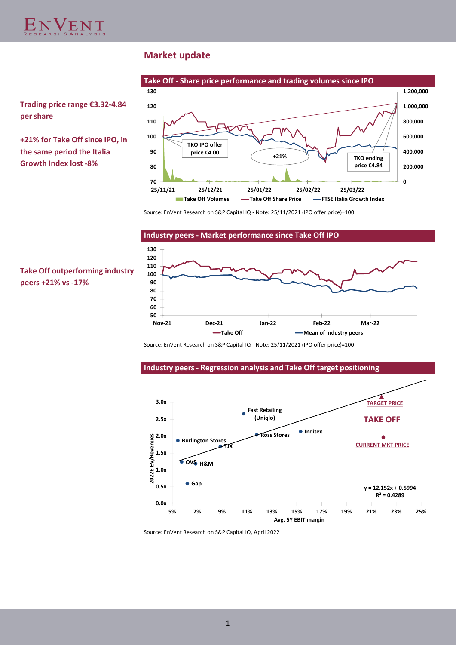

# **Market update**



**Trading price range €3.32-4.84 per share**

**+21% for Take Off since IPO, in the same period the Italia Growth Index lost -8%**

**Take Off outperforming industry**

**peers +21% vs -17%**

Source: EnVent Research on S&P Capital IQ - Note: 25/11/2021 (IPO offer price)=100

### **Industry peers - Market performance since Take Off IPO**



Source: EnVent Research on S&P Capital IQ - Note: 25/11/2021 (IPO offer price)=100





Source: EnVent Research on S&P Capital IQ, April 2022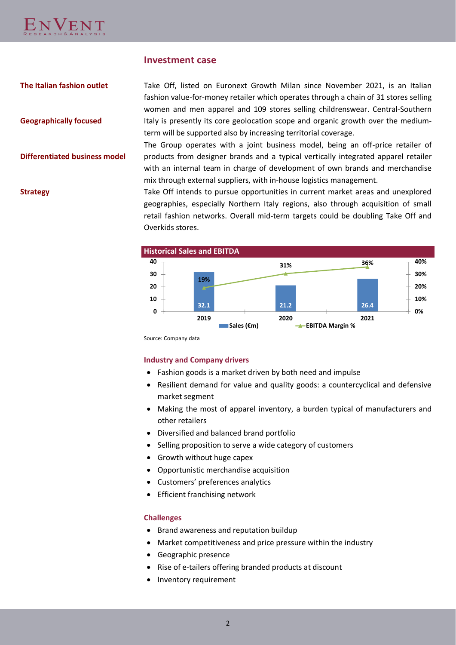

# **Investment case**

**The Italian fashion outlet**

**Geographically focused**

**Differentiated business model**

Take Off, listed on Euronext Growth Milan since November 2021, is an Italian fashion value-for-money retailer which operates through a chain of 31 stores selling women and men apparel and 109 stores selling childrenswear. Central-Southern Italy is presently its core geolocation scope and organic growth over the mediumterm will be supported also by increasing territorial coverage.

The Group operates with a joint business model, being an off-price retailer of products from designer brands and a typical vertically integrated apparel retailer with an internal team in charge of development of own brands and merchandise mix through external suppliers, with in-house logistics management.

**Strategy** Take Off intends to pursue opportunities in current market areas and unexplored geographies, especially Northern Italy regions, also through acquisition of small retail fashion networks. Overall mid-term targets could be doubling Take Off and Overkids stores.



Source: Company data

## **Industry and Company drivers**

- Fashion goods is a market driven by both need and impulse
- Resilient demand for value and quality goods: a countercyclical and defensive market segment
- Making the most of apparel inventory, a burden typical of manufacturers and other retailers
- Diversified and balanced brand portfolio
- Selling proposition to serve a wide category of customers
- Growth without huge capex
- Opportunistic merchandise acquisition
- Customers' preferences analytics
- Efficient franchising network

## **Challenges**

- Brand awareness and reputation buildup
- Market competitiveness and price pressure within the industry
- Geographic presence
- Rise of e-tailers offering branded products at discount
- Inventory requirement

2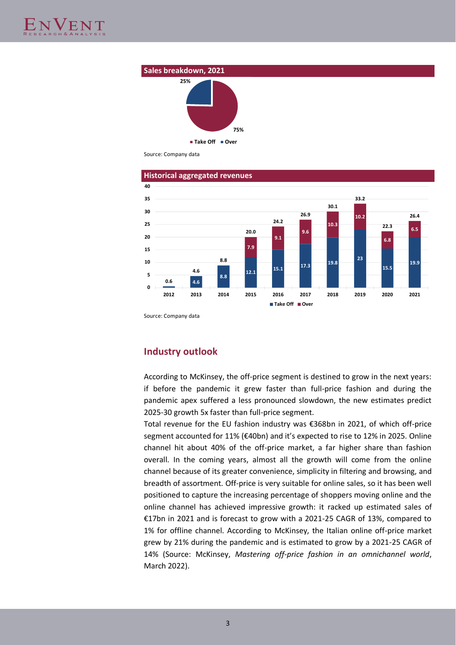

Source: Company data





Source: Company data

# **Industry outlook**

According to McKinsey, the off-price segment is destined to grow in the next years: if before the pandemic it grew faster than full-price fashion and during the pandemic apex suffered a less pronounced slowdown, the new estimates predict 2025-30 growth 5x faster than full-price segment.

Total revenue for the EU fashion industry was €368bn in 2021, of which off-price segment accounted for 11% (€40bn) and it's expected to rise to 12% in 2025. Online channel hit about 40% of the off-price market, a far higher share than fashion overall. In the coming years, almost all the growth will come from the online channel because of its greater convenience, simplicity in filtering and browsing, and breadth of assortment. Off-price is very suitable for online sales, so it has been well positioned to capture the increasing percentage of shoppers moving online and the online channel has achieved impressive growth: it racked up estimated sales of €17bn in 2021 and is forecast to grow with a 2021-25 CAGR of 13%, compared to 1% for offline channel. According to McKinsey, the Italian online off-price market grew by 21% during the pandemic and is estimated to grow by a 2021-25 CAGR of 14% (Source: McKinsey, *Mastering off-price fashion in an omnichannel world*, March 2022).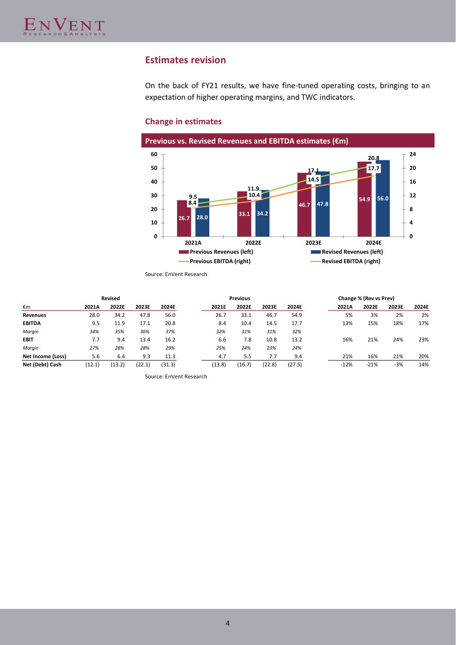# **Estimates revision**

On the back of FY21 results, we have fine-tuned operating costs, bringing to an expectation of higher operating margins, and TWC indicators.

#### **Previous vs. Revised Revenues and EBITDA estimates (€m) 26.7 33.1 46.7 54.9 28.0 34.2 47.8 56.0 8.4 10.4 14.5 17.7 9.5 11.9 17.1 20.8 0 4 8 12 16 20 24 0 10 20 30 40 50 60 2021A 2022E 2023E 2024E Previous Revenues (left) Revised Revenues (left) Revised Revenues (left) Previous EBITDA (right) Revised EBITDA (right) Revised EBITDA (right)**

# **Change in estimates**

Source: EnVent Research

|                   | Revised<br><b>Previous</b> |        |        |        |        |        |        |        | Change % (Rev vs Prev) |        |       |       |
|-------------------|----------------------------|--------|--------|--------|--------|--------|--------|--------|------------------------|--------|-------|-------|
| €m                | 2021A                      | 2022E  | 2023E  | 2024E  | 2021E  | 2022E  | 2023E  | 2024E  | 2021A                  | 2022E  | 2023E | 2024E |
| <b>Revenues</b>   | 28.0                       | 34.2   | 47.8   | 56.0   | 26.7   | 33.1   | 46.7   | 54.9   | 5%                     | 3%     | 2%    | 2%    |
| <b>EBITDA</b>     | 9.5                        | 11.9   | 17.1   | 20.8   | 8.4    | 10.4   | 14.5   | 17.7   | 13%                    | 15%    | 18%   | 17%   |
| Margin            | 34%                        | 35%    | 36%    | 37%    | 32%    | 31%    | 31%    | 32%    |                        |        |       |       |
| <b>EBIT</b>       | 7.7                        | 9.4    | 13.4   | 16.2   | 6.6    | 7.8    | 10.8   | 13.2   | 16%                    | 21%    | 24%   | 23%   |
| Margin            | 27%                        | 28%    | 28%    | 29%    | 25%    | 24%    | 23%    | 24%    |                        |        |       |       |
| Net Income (Loss) | 5.6                        | 6.4    | 9.3    | 11.3   | 4.7    | 5.5    | 7.7    | 9.4    | 21%                    | 16%    | 21%   | 20%   |
| Net (Debt) Cash   | (12.1)                     | (13.2) | (22.1) | (31.3) | (13.8) | (16.7) | (22.8) | (27.5) | $-12%$                 | $-21%$ | $-3%$ | 14%   |

Source: EnVent Research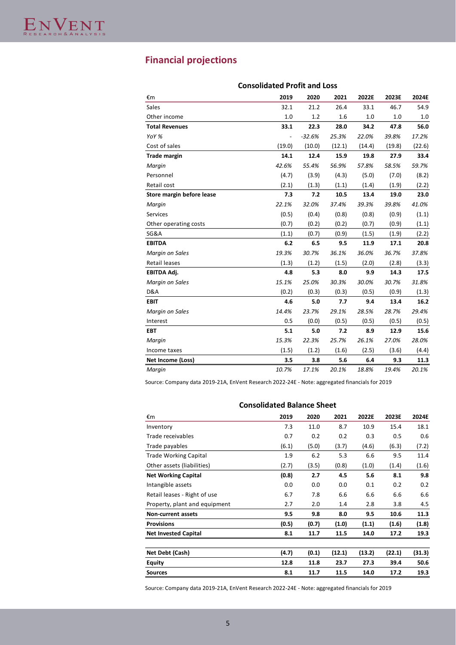# **Financial projections**

| u v u                     |                          |          |        |        |        |        |
|---------------------------|--------------------------|----------|--------|--------|--------|--------|
| €m                        | 2019                     | 2020     | 2021   | 2022E  | 2023E  | 2024E  |
| <b>Sales</b>              | 32.1                     | 21.2     | 26.4   | 33.1   | 46.7   | 54.9   |
| Other income              | 1.0                      | 1.2      | 1.6    | 1.0    | 1.0    | 1.0    |
| <b>Total Revenues</b>     | 33.1                     | 22.3     | 28.0   | 34.2   | 47.8   | 56.0   |
| YoY %                     | $\overline{\phantom{0}}$ | $-32.6%$ | 25.3%  | 22.0%  | 39.8%  | 17.2%  |
| Cost of sales             | (19.0)                   | (10.0)   | (12.1) | (14.4) | (19.8) | (22.6) |
| Trade margin              | 14.1                     | 12.4     | 15.9   | 19.8   | 27.9   | 33.4   |
| Margin                    | 42.6%                    | 55.4%    | 56.9%  | 57.8%  | 58.5%  | 59.7%  |
| Personnel                 | (4.7)                    | (3.9)    | (4.3)  | (5.0)  | (7.0)  | (8.2)  |
| Retail cost               | (2.1)                    | (1.3)    | (1.1)  | (1.4)  | (1.9)  | (2.2)  |
| Store margin before lease | 7.3                      | 7.2      | 10.5   | 13.4   | 19.0   | 23.0   |
| Margin                    | 22.1%                    | 32.0%    | 37.4%  | 39.3%  | 39.8%  | 41.0%  |
| Services                  | (0.5)                    | (0.4)    | (0.8)  | (0.8)  | (0.9)  | (1.1)  |
| Other operating costs     | (0.7)                    | (0.2)    | (0.2)  | (0.7)  | (0.9)  | (1.1)  |
| SG&A                      | (1.1)                    | (0.7)    | (0.9)  | (1.5)  | (1.9)  | (2.2)  |
| <b>EBITDA</b>             | 6.2                      | 6.5      | 9.5    | 11.9   | 17.1   | 20.8   |
| Margin on Sales           | 19.3%                    | 30.7%    | 36.1%  | 36.0%  | 36.7%  | 37.8%  |
| Retail leases             | (1.3)                    | (1.2)    | (1.5)  | (2.0)  | (2.8)  | (3.3)  |
| EBITDA Adj.               | 4.8                      | 5.3      | 8.0    | 9.9    | 14.3   | 17.5   |
| Margin on Sales           | 15.1%                    | 25.0%    | 30.3%  | 30.0%  | 30.7%  | 31.8%  |
| D&A                       | (0.2)                    | (0.3)    | (0.3)  | (0.5)  | (0.9)  | (1.3)  |
| <b>EBIT</b>               | 4.6                      | 5.0      | 7.7    | 9.4    | 13.4   | 16.2   |
| Margin on Sales           | 14.4%                    | 23.7%    | 29.1%  | 28.5%  | 28.7%  | 29.4%  |
| Interest                  | 0.5                      | (0.0)    | (0.5)  | (0.5)  | (0.5)  | (0.5)  |
| <b>EBT</b>                | 5.1                      | 5.0      | 7.2    | 8.9    | 12.9   | 15.6   |
| Margin                    | 15.3%                    | 22.3%    | 25.7%  | 26.1%  | 27.0%  | 28.0%  |
| Income taxes              | (1.5)                    | (1.2)    | (1.6)  | (2.5)  | (3.6)  | (4.4)  |
| Net Income (Loss)         | 3.5                      | 3.8      | 5.6    | 6.4    | 9.3    | 11.3   |
| Margin                    | 10.7%                    | 17.1%    | 20.1%  | 18.8%  | 19.4%  | 20.1%  |

# **Consolidated Profit and Loss**

Source: Company data 2019-21A, EnVent Research 2022-24E - Note: aggregated financials for 2019

| consonaatea baianee oneet     |       |       |        |        |        |        |
|-------------------------------|-------|-------|--------|--------|--------|--------|
| €m                            | 2019  | 2020  | 2021   | 2022E  | 2023E  | 2024E  |
| Inventory                     | 7.3   | 11.0  | 8.7    | 10.9   | 15.4   | 18.1   |
| Trade receivables             | 0.7   | 0.2   | 0.2    | 0.3    | 0.5    | 0.6    |
| Trade payables                | (6.1) | (5.0) | (3.7)  | (4.6)  | (6.3)  | (7.2)  |
| <b>Trade Working Capital</b>  | 1.9   | 6.2   | 5.3    | 6.6    | 9.5    | 11.4   |
| Other assets (liabilities)    | (2.7) | (3.5) | (0.8)  | (1.0)  | (1.4)  | (1.6)  |
| <b>Net Working Capital</b>    | (0.8) | 2.7   | 4.5    | 5.6    | 8.1    | 9.8    |
| Intangible assets             | 0.0   | 0.0   | 0.0    | 0.1    | 0.2    | 0.2    |
| Retail leases - Right of use  | 6.7   | 7.8   | 6.6    | 6.6    | 6.6    | 6.6    |
| Property, plant and equipment | 2.7   | 2.0   | 1.4    | 2.8    | 3.8    | 4.5    |
| Non-current assets            | 9.5   | 9.8   | 8.0    | 9.5    | 10.6   | 11.3   |
| <b>Provisions</b>             | (0.5) | (0.7) | (1.0)  | (1.1)  | (1.6)  | (1.8)  |
| <b>Net Invested Capital</b>   | 8.1   | 11.7  | 11.5   | 14.0   | 17.2   | 19.3   |
|                               |       |       |        |        |        |        |
| Net Debt (Cash)               | (4.7) | (0.1) | (12.1) | (13.2) | (22.1) | (31.3) |
| Equity                        | 12.8  | 11.8  | 23.7   | 27.3   | 39.4   | 50.6   |
| <b>Sources</b>                | 8.1   | 11.7  | 11.5   | 14.0   | 17.2   | 19.3   |
|                               |       |       |        |        |        |        |

# **Consolidated Balance Sheet**

Source: Company data 2019-21A, EnVent Research 2022-24E - Note: aggregated financials for 2019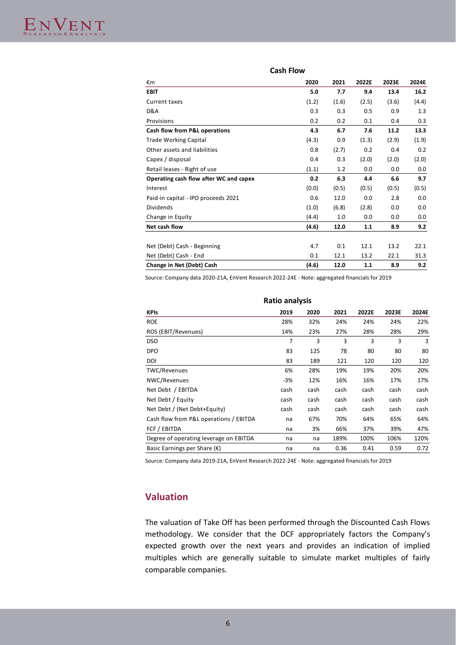| €m                                     | 2020  | 2021  | 2022E | 2023E | 2024E |
|----------------------------------------|-------|-------|-------|-------|-------|
| <b>EBIT</b>                            | 5.0   | 7.7   | 9.4   | 13.4  | 16.2  |
| Current taxes                          | (1.2) | (1.6) | (2.5) | (3.6) | (4.4) |
| D&A                                    | 0.3   | 0.3   | 0.5   | 0.9   | 1.3   |
| Provisions                             | 0.2   | 0.2   | 0.1   | 0.4   | 0.3   |
| Cash flow from P&L operations          | 4.3   | 6.7   | 7.6   | 11.2  | 13.3  |
| <b>Trade Working Capital</b>           | (4.3) | 0.9   | (1.3) | (2.9) | (1.9) |
| Other assets and liabilities           | 0.8   | (2.7) | 0.2   | 0.4   | 0.2   |
| Capex / disposal                       | 0.4   | 0.3   | (2.0) | (2.0) | (2.0) |
| Retail leases - Right of use           | (1.1) | 1.2   | 0.0   | 0.0   | 0.0   |
| Operating cash flow after WC and capex | 0.2   | 6.3   | 4.4   | 6.6   | 9.7   |
| Interest                               | (0.0) | (0.5) | (0.5) | (0.5) | (0.5) |
| Paid-in capital - IPO proceeds 2021    | 0.6   | 12.0  | 0.0   | 2.8   | 0.0   |
| <b>Dividends</b>                       | (1.0) | (6.8) | (2.8) | 0.0   | 0.0   |
| Change in Equity                       | (4.4) | 1.0   | 0.0   | 0.0   | 0.0   |
| Net cash flow                          | (4.6) | 12.0  | 1.1   | 8.9   | 9.2   |
|                                        |       |       |       |       |       |
| Net (Debt) Cash - Beginning            | 4.7   | 0.1   | 12.1  | 13.2  | 22.1  |
| Net (Debt) Cash - End                  | 0.1   | 12.1  | 13.2  | 22.1  | 31.3  |
| Change in Net (Debt) Cash              | (4.6) | 12.0  | 1.1   | 8.9   | 9.2   |

**Cash Flow**

Source: Company data 2020-21A, EnVent Research 2022-24E - Note: aggregated financials for 2019

| <b>Ratio analysis</b>                  |       |      |      |       |       |       |  |  |
|----------------------------------------|-------|------|------|-------|-------|-------|--|--|
| <b>KPIs</b>                            | 2019  | 2020 | 2021 | 2022E | 2023E | 2024E |  |  |
| <b>ROE</b>                             | 28%   | 32%  | 24%  | 24%   | 24%   | 22%   |  |  |
| ROS (EBIT/Revenues)                    | 14%   | 23%  | 27%  | 28%   | 28%   | 29%   |  |  |
| <b>DSO</b>                             | 7     | 3    | 3    | 3     | 3     | 3     |  |  |
| <b>DPO</b>                             | 83    | 125  | 78   | 80    | 80    | 80    |  |  |
| DOI                                    | 83    | 189  | 121  | 120   | 120   | 120   |  |  |
| TWC/Revenues                           | 6%    | 28%  | 19%  | 19%   | 20%   | 20%   |  |  |
| NWC/Revenues                           | $-3%$ | 12%  | 16%  | 16%   | 17%   | 17%   |  |  |
| Net Debt / EBITDA                      | cash  | cash | cash | cash  | cash  | cash  |  |  |
| Net Debt / Equity                      | cash  | cash | cash | cash  | cash  | cash  |  |  |
| Net Debt / (Net Debt+Equity)           | cash  | cash | cash | cash  | cash  | cash  |  |  |
| Cash flow from P&L operations / EBITDA | na    | 67%  | 70%  | 64%   | 65%   | 64%   |  |  |
| FCF / EBITDA                           | na    | 3%   | 66%  | 37%   | 39%   | 47%   |  |  |
| Degree of operating leverage on EBITDA | na    | na   | 189% | 100%  | 106%  | 120%  |  |  |
| Basic Earnings per Share $(\epsilon)$  | na    | na   | 0.36 | 0.41  | 0.59  | 0.72  |  |  |
|                                        |       |      |      |       |       |       |  |  |

Source: Company data 2019-21A, EnVent Research 2022-24E - Note: aggregated financials for 2019

# **Valuation**

The valuation of Take Off has been performed through the Discounted Cash Flows methodology. We consider that the DCF appropriately factors the Company's expected growth over the next years and provides an indication of implied multiples which are generally suitable to simulate market multiples of fairly comparable companies.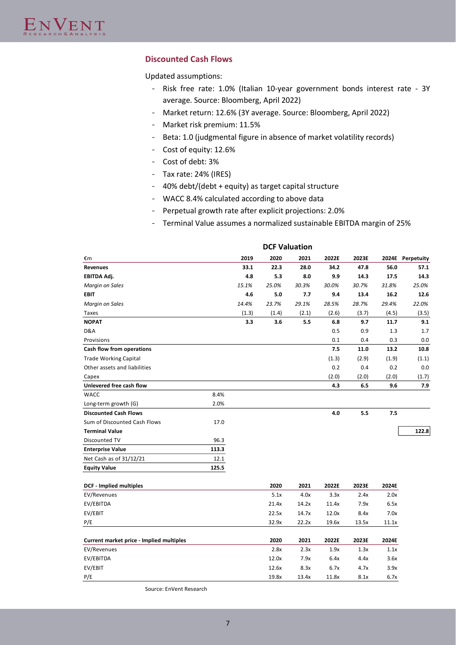# **Discounted Cash Flows**

Updated assumptions:

- Risk free rate: 1.0% (Italian 10-year government bonds interest rate 3Y average. Source: Bloomberg, April 2022)
- Market return: 12.6% (3Y average. Source: Bloomberg, April 2022)
- Market risk premium: 11.5%
- Beta: 1.0 (judgmental figure in absence of market volatility records)
- Cost of equity: 12.6%
- Cost of debt: 3%
- Tax rate: 24% (IRES)
- 40% debt/(debt + equity) as target capital structure
- WACC 8.4% calculated according to above data
- Perpetual growth rate after explicit projections: 2.0%
- Terminal Value assumes a normalized sustainable EBITDA margin of 25%

|                                          |       |       | <b>DCF Valuation</b> |       |       |       |       |            |
|------------------------------------------|-------|-------|----------------------|-------|-------|-------|-------|------------|
| €m                                       |       | 2019  | 2020                 | 2021  | 2022E | 2023E | 2024E | Perpetuity |
| <b>Revenues</b>                          |       | 33.1  | 22.3                 | 28.0  | 34.2  | 47.8  | 56.0  | 57.1       |
| EBITDA Adj.                              |       | 4.8   | 5.3                  | 8.0   | 9.9   | 14.3  | 17.5  | 14.3       |
| Margin on Sales                          |       | 15.1% | 25.0%                | 30.3% | 30.0% | 30.7% | 31.8% | 25.0%      |
| <b>EBIT</b>                              |       | 4.6   | 5.0                  | 7.7   | 9.4   | 13.4  | 16.2  | 12.6       |
| Margin on Sales                          |       | 14.4% | 23.7%                | 29.1% | 28.5% | 28.7% | 29.4% | 22.0%      |
| Taxes                                    |       | (1.3) | (1.4)                | (2.1) | (2.6) | (3.7) | (4.5) | (3.5)      |
| <b>NOPAT</b>                             |       | 3.3   | 3.6                  | 5.5   | 6.8   | 9.7   | 11.7  | 9.1        |
| D&A                                      |       |       |                      |       | 0.5   | 0.9   | 1.3   | 1.7        |
| Provisions                               |       |       |                      |       | 0.1   | 0.4   | 0.3   | 0.0        |
| Cash flow from operations                |       |       |                      |       | 7.5   | 11.0  | 13.2  | 10.8       |
| <b>Trade Working Capital</b>             |       |       |                      |       | (1.3) | (2.9) | (1.9) | (1.1)      |
| Other assets and liabilities             |       |       |                      |       | 0.2   | 0.4   | 0.2   | 0.0        |
| Capex                                    |       |       |                      |       | (2.0) | (2.0) | (2.0) | (1.7)      |
| Unlevered free cash flow                 |       |       |                      |       | 4.3   | 6.5   | 9.6   | 7.9        |
| <b>WACC</b>                              | 8.4%  |       |                      |       |       |       |       |            |
| Long-term growth (G)                     | 2.0%  |       |                      |       |       |       |       |            |
| <b>Discounted Cash Flows</b>             |       |       |                      |       | 4.0   | 5.5   | 7.5   |            |
| Sum of Discounted Cash Flows             | 17.0  |       |                      |       |       |       |       |            |
| <b>Terminal Value</b>                    |       |       |                      |       |       |       |       | 122.8      |
| Discounted TV                            | 96.3  |       |                      |       |       |       |       |            |
| <b>Enterprise Value</b>                  | 113.3 |       |                      |       |       |       |       |            |
| Net Cash as of 31/12/21                  | 12.1  |       |                      |       |       |       |       |            |
| <b>Equity Value</b>                      | 125.5 |       |                      |       |       |       |       |            |
| <b>DCF</b> - Implied multiples           |       |       | 2020                 | 2021  | 2022E | 2023E | 2024E |            |
| EV/Revenues                              |       |       | 5.1x                 | 4.0x  | 3.3x  | 2.4x  | 2.0x  |            |
| EV/EBITDA                                |       |       | 21.4x                | 14.2x | 11.4x | 7.9x  | 6.5x  |            |
| EV/EBIT                                  |       |       | 22.5x                | 14.7x | 12.0x | 8.4x  | 7.0x  |            |
| P/E                                      |       |       | 32.9x                | 22.2x | 19.6x | 13.5x | 11.1x |            |
| Current market price - Implied multiples |       |       | 2020                 | 2021  | 2022E | 2023E | 2024E |            |
| EV/Revenues                              |       |       | 2.8x                 | 2.3x  | 1.9x  | 1.3x  | 1.1x  |            |
| EV/EBITDA                                |       |       | 12.0x                | 7.9x  | 6.4x  | 4.4x  | 3.6x  |            |
| EV/EBIT                                  |       |       | 12.6x                | 8.3x  | 6.7x  | 4.7x  | 3.9x  |            |
| P/E                                      |       |       | 19.8x                | 13.4x | 11.8x | 8.1x  | 6.7x  |            |

Source: EnVent Research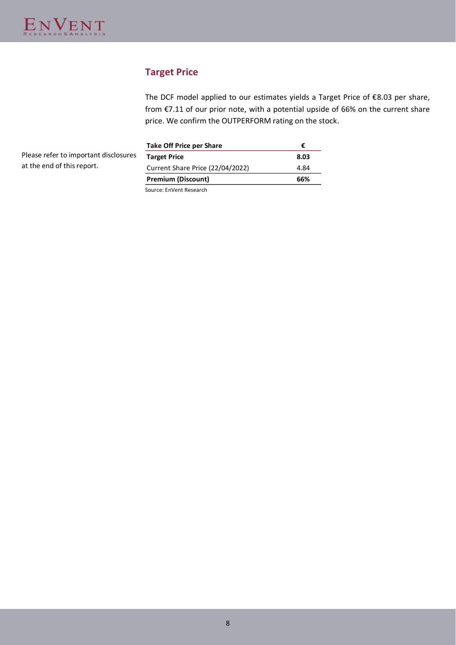# **Target Price**

The DCF model applied to our estimates yields a Target Price of €8.03 per share, from €7.11 of our prior note, with a potential upside of 66% on the current share price. We confirm the OUTPERFORM rating on the stock.

| Please refer to important disclosures |  |
|---------------------------------------|--|
| at the end of this report.            |  |

| €    |
|------|
| 8.03 |
| 4.84 |
| 66%  |
|      |

Source: EnVent Research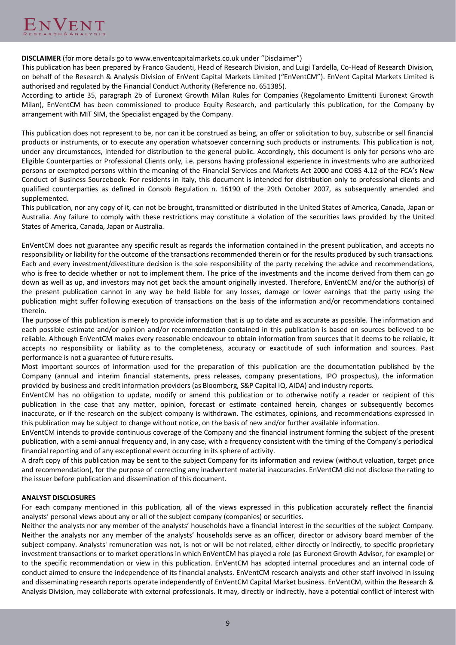**DISCLAIMER** (for more details go to www.enventcapitalmarkets.co.uk under "Disclaimer")

This publication has been prepared by Franco Gaudenti, Head of Research Division, and Luigi Tardella, Co-Head of Research Division, on behalf of the Research & Analysis Division of EnVent Capital Markets Limited ("EnVentCM"). EnVent Capital Markets Limited is authorised and regulated by the Financial Conduct Authority (Reference no. 651385).

According to article 35, paragraph 2b of Euronext Growth Milan Rules for Companies (Regolamento Emittenti Euronext Growth Milan), EnVentCM has been commissioned to produce Equity Research, and particularly this publication, for the Company by arrangement with MIT SIM, the Specialist engaged by the Company.

This publication does not represent to be, nor can it be construed as being, an offer or solicitation to buy, subscribe or sell financial products or instruments, or to execute any operation whatsoever concerning such products or instruments. This publication is not, under any circumstances, intended for distribution to the general public. Accordingly, this document is only for persons who are Eligible Counterparties or Professional Clients only, i.e. persons having professional experience in investments who are authorized persons or exempted persons within the meaning of the Financial Services and Markets Act 2000 and COBS 4.12 of the FCA's New Conduct of Business Sourcebook. For residents in Italy, this document is intended for distribution only to professional clients and qualified counterparties as defined in Consob Regulation n. 16190 of the 29th October 2007, as subsequently amended and supplemented.

This publication, nor any copy of it, can not be brought, transmitted or distributed in the United States of America, Canada, Japan or Australia. Any failure to comply with these restrictions may constitute a violation of the securities laws provided by the United States of America, Canada, Japan or Australia.

EnVentCM does not guarantee any specific result as regards the information contained in the present publication, and accepts no responsibility or liability for the outcome of the transactions recommended therein or for the results produced by such transactions. Each and every investment/divestiture decision is the sole responsibility of the party receiving the advice and recommendations, who is free to decide whether or not to implement them. The price of the investments and the income derived from them can go down as well as up, and investors may not get back the amount originally invested. Therefore, EnVentCM and/or the author(s) of the present publication cannot in any way be held liable for any losses, damage or lower earnings that the party using the publication might suffer following execution of transactions on the basis of the information and/or recommendations contained therein.

The purpose of this publication is merely to provide information that is up to date and as accurate as possible. The information and each possible estimate and/or opinion and/or recommendation contained in this publication is based on sources believed to be reliable. Although EnVentCM makes every reasonable endeavour to obtain information from sources that it deems to be reliable, it accepts no responsibility or liability as to the completeness, accuracy or exactitude of such information and sources. Past performance is not a guarantee of future results.

Most important sources of information used for the preparation of this publication are the documentation published by the Company (annual and interim financial statements, press releases, company presentations, IPO prospectus), the information provided by business and credit information providers (as Bloomberg, S&P Capital IQ, AIDA) and industry reports.

EnVentCM has no obligation to update, modify or amend this publication or to otherwise notify a reader or recipient of this publication in the case that any matter, opinion, forecast or estimate contained herein, changes or subsequently becomes inaccurate, or if the research on the subject company is withdrawn. The estimates, opinions, and recommendations expressed in this publication may be subject to change without notice, on the basis of new and/or further available information.

EnVentCM intends to provide continuous coverage of the Company and the financial instrument forming the subject of the present publication, with a semi-annual frequency and, in any case, with a frequency consistent with the timing of the Company's periodical financial reporting and of any exceptional event occurring in its sphere of activity.

A draft copy of this publication may be sent to the subject Company for its information and review (without valuation, target price and recommendation), for the purpose of correcting any inadvertent material inaccuracies. EnVentCM did not disclose the rating to the issuer before publication and dissemination of this document.

# **ANALYST DISCLOSURES**

For each company mentioned in this publication, all of the views expressed in this publication accurately reflect the financial analysts' personal views about any or all of the subject company (companies) or securities.

Neither the analysts nor any member of the analysts' households have a financial interest in the securities of the subject Company. Neither the analysts nor any member of the analysts' households serve as an officer, director or advisory board member of the subject company. Analysts' remuneration was not, is not or will be not related, either directly or indirectly, to specific proprietary investment transactions or to market operations in which EnVentCM has played a role (as Euronext Growth Advisor, for example) or to the specific recommendation or view in this publication. EnVentCM has adopted internal procedures and an internal code of conduct aimed to ensure the independence of its financial analysts. EnVentCM research analysts and other staff involved in issuing and disseminating research reports operate independently of EnVentCM Capital Market business. EnVentCM, within the Research & Analysis Division, may collaborate with external professionals. It may, directly or indirectly, have a potential conflict of interest with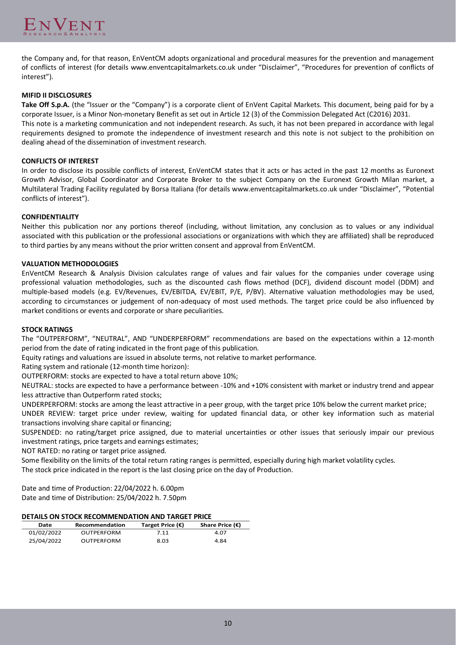

the Company and, for that reason, EnVentCM adopts organizational and procedural measures for the prevention and management of conflicts of interest (for details www.enventcapitalmarkets.co.uk under "Disclaimer", "Procedures for prevention of conflicts of interest").

# **MIFID II DISCLOSURES**

**Take Off S.p.A.** (the "Issuer or the "Company") is a corporate client of EnVent Capital Markets. This document, being paid for by a corporate Issuer, is a Minor Non-monetary Benefit as set out in Article 12 (3) of the Commission Delegated Act (C2016) 2031.

This note is a marketing communication and not independent research. As such, it has not been prepared in accordance with legal requirements designed to promote the independence of investment research and this note is not subject to the prohibition on dealing ahead of the dissemination of investment research.

## **CONFLICTS OF INTEREST**

In order to disclose its possible conflicts of interest, EnVentCM states that it acts or has acted in the past 12 months as Euronext Growth Advisor, Global Coordinator and Corporate Broker to the subject Company on the Euronext Growth Milan market, a Multilateral Trading Facility regulated by Borsa Italiana (for details www.enventcapitalmarkets.co.uk under "Disclaimer", "Potential conflicts of interest").

## **CONFIDENTIALITY**

Neither this publication nor any portions thereof (including, without limitation, any conclusion as to values or any individual associated with this publication or the professional associations or organizations with which they are affiliated) shall be reproduced to third parties by any means without the prior written consent and approval from EnVentCM.

## **VALUATION METHODOLOGIES**

EnVentCM Research & Analysis Division calculates range of values and fair values for the companies under coverage using professional valuation methodologies, such as the discounted cash flows method (DCF), dividend discount model (DDM) and multiple-based models (e.g. EV/Revenues, EV/EBITDA, EV/EBIT, P/E, P/BV). Alternative valuation methodologies may be used, according to circumstances or judgement of non-adequacy of most used methods. The target price could be also influenced by market conditions or events and corporate or share peculiarities.

## **STOCK RATINGS**

The "OUTPERFORM", "NEUTRAL", AND "UNDERPERFORM" recommendations are based on the expectations within a 12-month period from the date of rating indicated in the front page of this publication.

Equity ratings and valuations are issued in absolute terms, not relative to market performance.

Rating system and rationale (12-month time horizon):

OUTPERFORM: stocks are expected to have a total return above 10%;

NEUTRAL: stocks are expected to have a performance between -10% and +10% consistent with market or industry trend and appear less attractive than Outperform rated stocks;

UNDERPERFORM: stocks are among the least attractive in a peer group, with the target price 10% below the current market price;

UNDER REVIEW: target price under review, waiting for updated financial data, or other key information such as material transactions involving share capital or financing;

SUSPENDED: no rating/target price assigned, due to material uncertainties or other issues that seriously impair our previous investment ratings, price targets and earnings estimates;

NOT RATED: no rating or target price assigned.

Some flexibility on the limits of the total return rating ranges is permitted, especially during high market volatility cycles. The stock price indicated in the report is the last closing price on the day of Production.

Date and time of Production: 22/04/2022 h. 6.00pm Date and time of Distribution: 25/04/2022 h. 7.50pm

## **DETAILS ON STOCK RECOMMENDATION AND TARGET PRICE**

| Date       | Recommendation    | Target Price $(\epsilon)$ | Share Price $(\epsilon)$ |
|------------|-------------------|---------------------------|--------------------------|
| 01/02/2022 | <b>OUTPERFORM</b> | 7.11                      | 4.07                     |
| 25/04/2022 | OUTPERFORM        | 8.03                      | 4.84                     |